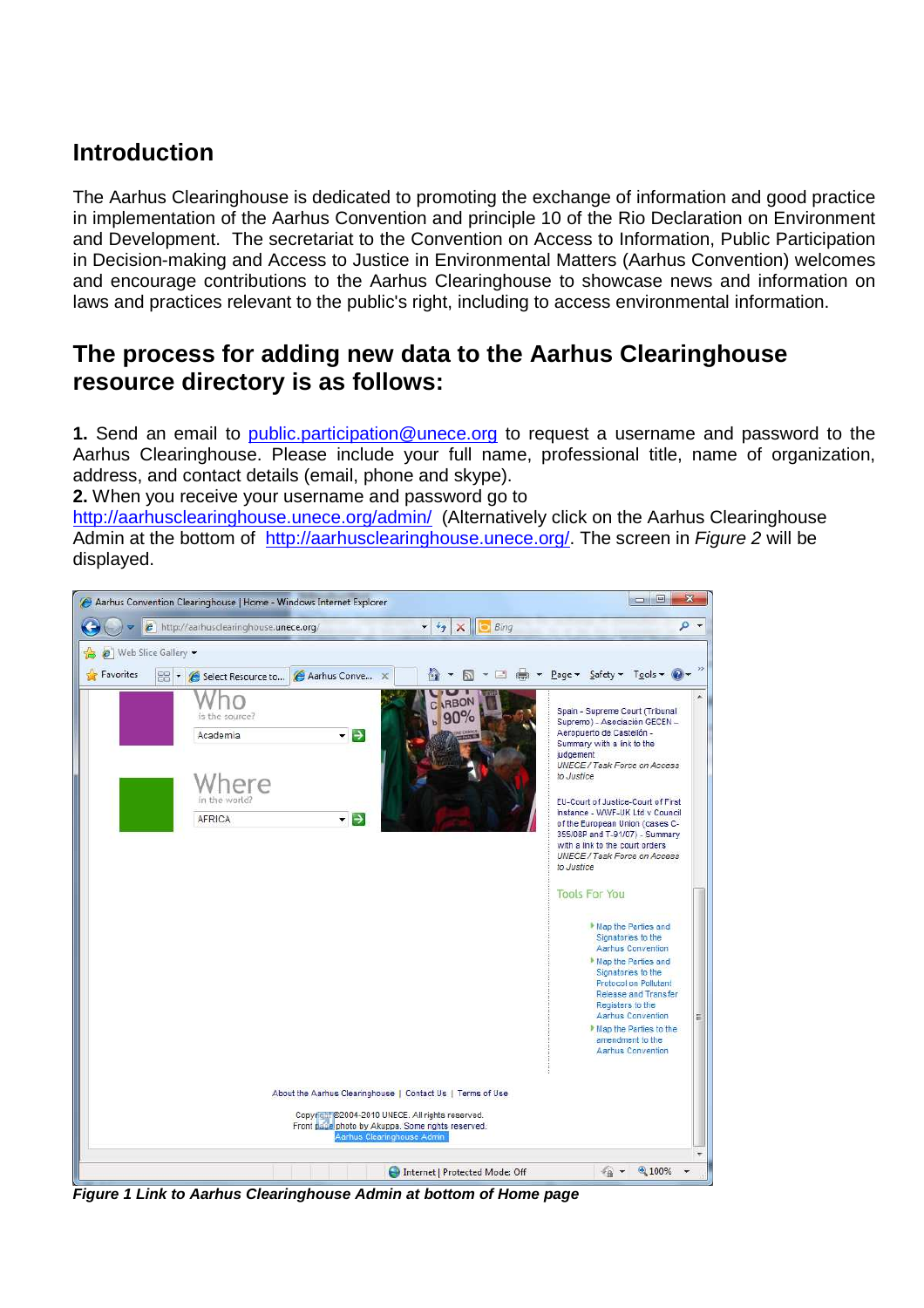# **Introduction**

The Aarhus Clearinghouse is dedicated to promoting the exchange of information and good practice in implementation of the Aarhus Convention and principle 10 of the Rio Declaration on Environment and Development. The secretariat to the Convention on Access to Information, Public Participation in Decision-making and Access to Justice in Environmental Matters (Aarhus Convention) welcomes and encourage contributions to the Aarhus Clearinghouse to showcase news and information on laws and practices relevant to the public's right, including to access environmental information.

# **The process for adding new data to the Aarhus Clearinghouse resource directory is as follows:**

**1.** Send an email to public.participation@unece.org to request a username and password to the Aarhus Clearinghouse. Please include your full name, professional title, name of organization, address, and contact details (email, phone and skype).

**2.** When you receive your username and password go to

http://aarhusclearinghouse.unece.org/admin/ (Alternatively click on the Aarhus Clearinghouse Admin at the bottom of http://aarhusclearinghouse.unece.org/. The screen in Figure 2 will be displayed.



**Figure 1 Link to Aarhus Clearinghouse Admin at bottom of Home page**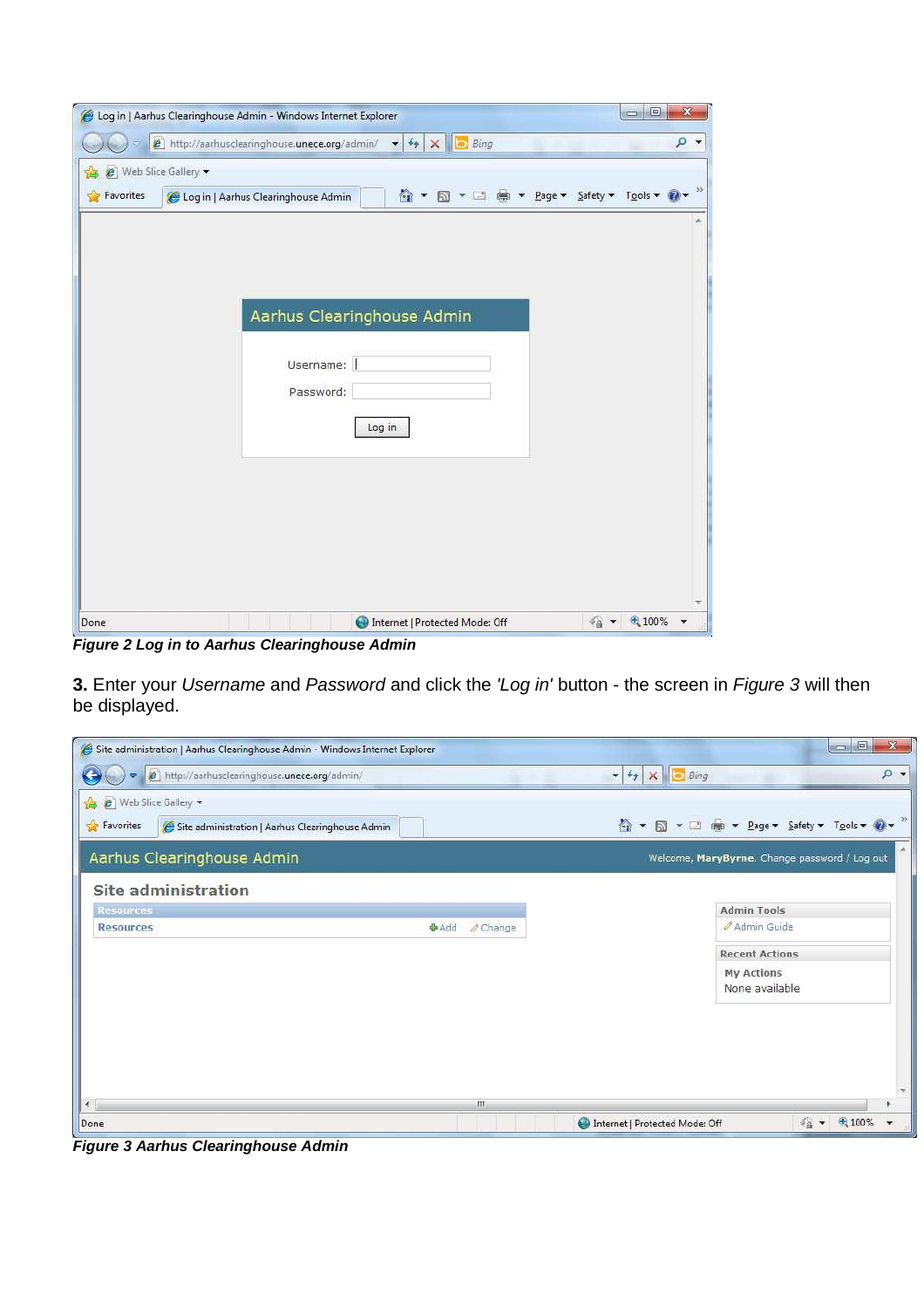| Log in   Aarhus Clearinghouse Admin - Windows Internet Explorer<br>e http://aarhusclearinghouse.unece.org/admin/<br>$\epsilon_{\uparrow}$<br>Bing<br>$\times$<br>$\mathbf{r}$ | $\boxed{\square}$<br>$\qquad \qquad \Box$ | $\mathbf{x}$<br>→ α |
|-------------------------------------------------------------------------------------------------------------------------------------------------------------------------------|-------------------------------------------|---------------------|
| Web Slice Gallery<br>遠<br>☆ ▼ 同 ▼ □ ● ▼ Page ▼ Safety ▼ Tools ▼ ② ▼<br>Favorites<br>Log in   Aarhus Clearinghouse Admin                                                       |                                           | $\gg$               |
|                                                                                                                                                                               |                                           | ×                   |
|                                                                                                                                                                               |                                           |                     |
| Aarhus Clearinghouse Admin                                                                                                                                                    |                                           |                     |
| Username:<br>Password:                                                                                                                                                        |                                           |                     |
| Log in                                                                                                                                                                        |                                           |                     |
|                                                                                                                                                                               |                                           |                     |
|                                                                                                                                                                               |                                           |                     |
|                                                                                                                                                                               |                                           |                     |
| Internet   Protected Mode: Off<br>Done<br>4a                                                                                                                                  | ● 100%                                    |                     |

**Figure 2 Log in to Aarhus Clearinghouse Admin** 

**3.** Enter your Username and Password and click the 'Log in' button - the screen in Figure 3 will then be displayed.

| Site administration   Aarhus Clearinghouse Admin - Windows Internet Explorer                                 |             |                     |                                             | $= 0$<br>$\mathbf{x}$                         |
|--------------------------------------------------------------------------------------------------------------|-------------|---------------------|---------------------------------------------|-----------------------------------------------|
| http://aarhusclearinghouse.unece.org/admin/                                                                  |             |                     | $\bullet$ $\bullet$ $\times$ $\bullet$ Bing | $\circ$ .                                     |
| <sup>8</sup> ( <i>e</i> ) Web Slice Gallery<br>Favorites<br>Site administration   Aarhus Clearinghouse Admin |             |                     |                                             | ☆ ▼ 同 ▼ □ 扁 ▼ Page ▼ Safety ▼ Tools ▼ ② ▼     |
| Aarhus Clearinghouse Admin                                                                                   |             |                     |                                             | Welcome, MaryByrne. Change password / Log out |
| <b>Site administration</b>                                                                                   |             |                     |                                             |                                               |
| <b>Resources</b>                                                                                             |             |                     |                                             | <b>Admin Tools</b>                            |
| <b>Resources</b>                                                                                             | <b>中Add</b> | $\mathscr O$ Change |                                             | Admin Guide                                   |
|                                                                                                              |             |                     |                                             | <b>Recent Actions</b>                         |
|                                                                                                              |             |                     |                                             | <b>My Actions</b>                             |
|                                                                                                              |             |                     |                                             | None available                                |
| $\epsilon$                                                                                                   |             |                     |                                             |                                               |
|                                                                                                              |             | m                   |                                             |                                               |
| Done                                                                                                         |             |                     | Internet   Protected Mode: Off              | 土 100%                                        |

**Figure 3 Aarhus Clearinghouse Admin**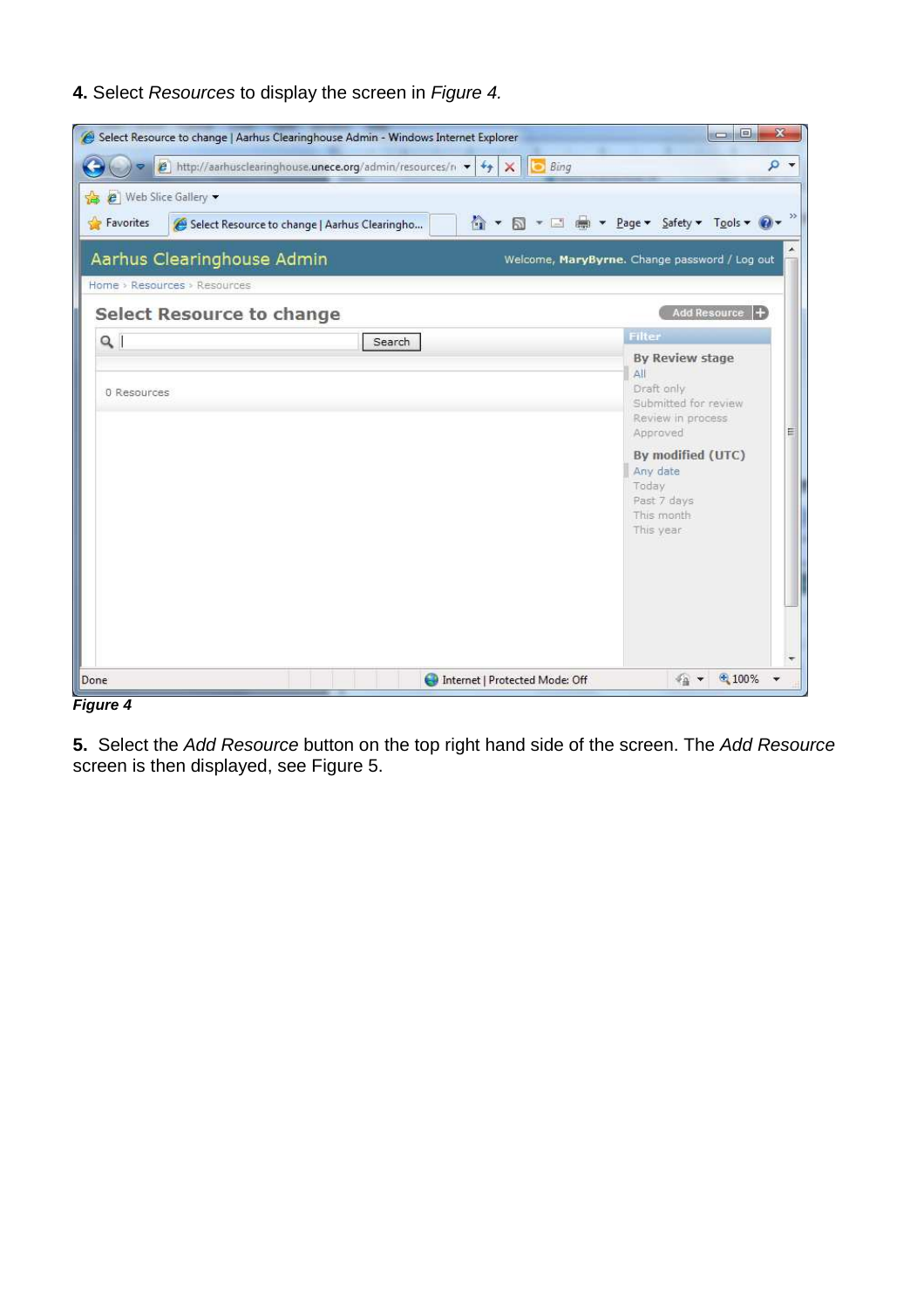## **4.** Select Resources to display the screen in Figure 4.

| $\epsilon$ http://aarhusclearinghouse.unece.org/admin/resources/n $\star$ $\star$ $\star$<br>e   Web Slice Gallery<br>Favorites<br>Select Resource to change   Aarhus Clearingho | <b>Bing</b><br>$\rightarrow$<br>4 ▼ 5 ▼ □       ▼ Page ▼ Safety ▼ Tools ▼   2 ▼                                                                                                                 |
|----------------------------------------------------------------------------------------------------------------------------------------------------------------------------------|-------------------------------------------------------------------------------------------------------------------------------------------------------------------------------------------------|
| Aarhus Clearinghouse Admin<br>Home > Resources > Resources                                                                                                                       | Welcome, MaryByrne. Change password / Log out                                                                                                                                                   |
| Select Resource to change                                                                                                                                                        | Add Resource  +                                                                                                                                                                                 |
| Q<br>Search                                                                                                                                                                      | <b>Filter</b>                                                                                                                                                                                   |
| 0 Resources                                                                                                                                                                      | <b>By Review stage</b><br>All<br>Draft only.<br>Submitted for review<br>Review in process.<br>E<br>Approved<br>By modified (UTC)<br>Any date<br>Today<br>Past 7 days<br>This month<br>This year |
| Done                                                                                                                                                                             | € 100%<br>$\pi_{\Omega}$ $\rightarrow$<br>Internet   Protected Mode: Off                                                                                                                        |

**Figure 4** 

**5.** Select the Add Resource button on the top right hand side of the screen. The Add Resource screen is then displayed, see Figure 5.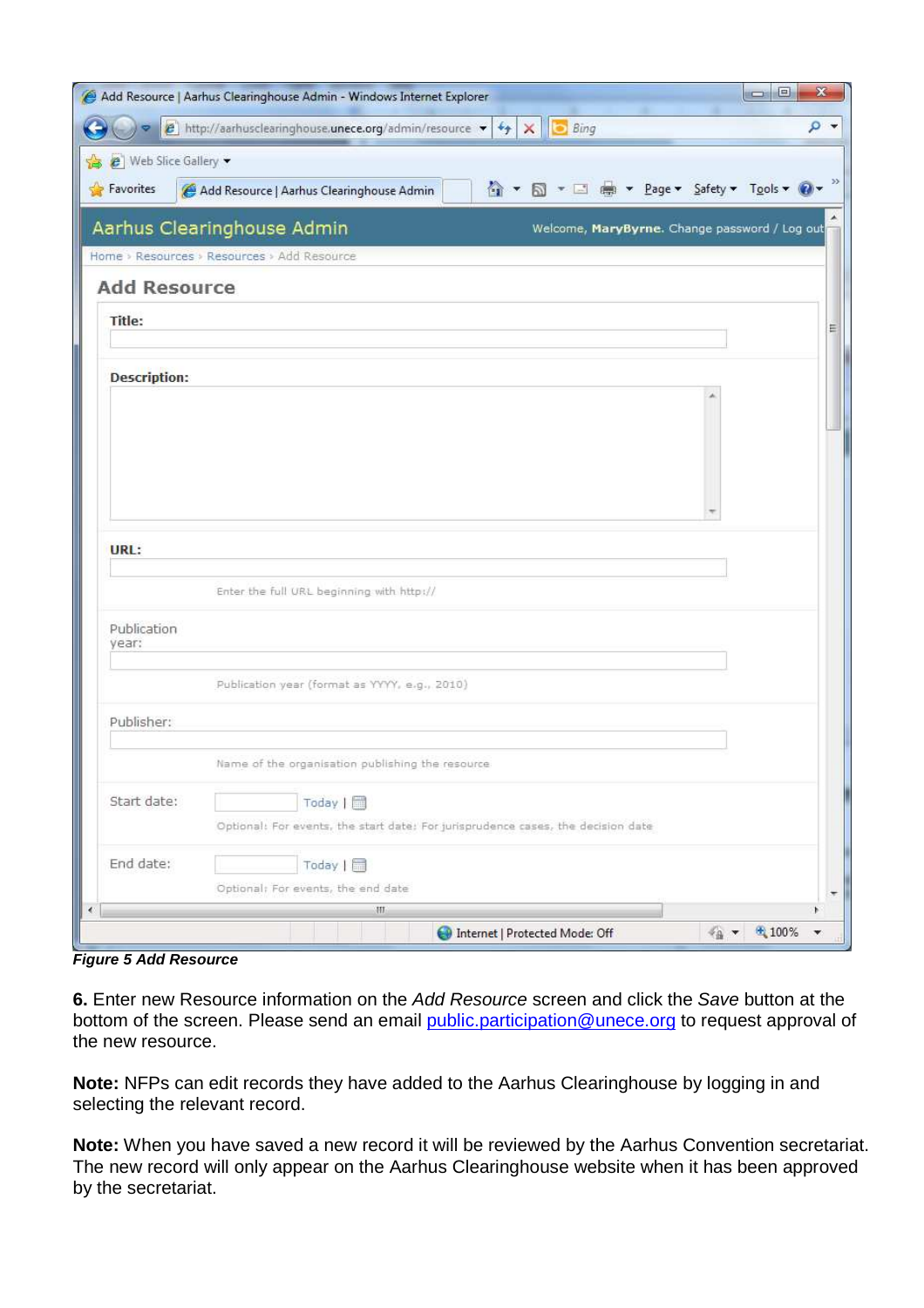|                         | Add Resource   Aarhus Clearinghouse Admin - Windows Internet Explorer                                                        | ×<br>回<br>انصاد                               |
|-------------------------|------------------------------------------------------------------------------------------------------------------------------|-----------------------------------------------|
|                         | $\epsilon$ http://aarhusclearinghouse.unece.org/admin/resource $\bullet$ $\rightarrow$ $\rightarrow$ $\times$<br><b>Bing</b> | $\rho$ .                                      |
| e   Web Slice Gallery - |                                                                                                                              |                                               |
| Favorites               | 4 ▼ 5 ▼ □ ● ▼ Page ▼ Safety ▼ Tools ▼ 0 ▼<br>Add Resource   Aarhus Clearinghouse Admin                                       |                                               |
|                         | Aarhus Clearinghouse Admin                                                                                                   | Welcome, MaryByrne. Change password / Log out |
|                         | Home > Resources > Resources > Add Resource                                                                                  |                                               |
| <b>Add Resource</b>     |                                                                                                                              |                                               |
| Title:                  |                                                                                                                              | Ξ                                             |
|                         |                                                                                                                              |                                               |
| <b>Description:</b>     |                                                                                                                              |                                               |
|                         |                                                                                                                              |                                               |
|                         |                                                                                                                              |                                               |
|                         |                                                                                                                              |                                               |
|                         |                                                                                                                              |                                               |
| URL:                    |                                                                                                                              |                                               |
|                         |                                                                                                                              |                                               |
|                         | Enter the full URL beginning with http://                                                                                    |                                               |
| Publication<br>year:    |                                                                                                                              |                                               |
|                         |                                                                                                                              |                                               |
|                         | Publication year (format as YYYY, e.g., 2010)                                                                                |                                               |
| Publisher:              |                                                                                                                              |                                               |
|                         | Name of the organisation publishing the resource                                                                             |                                               |
| Start date:             |                                                                                                                              |                                               |
|                         | Today   <sub>□</sub><br>Optional: For events, the start date; For jurisprudence cases, the decision date                     |                                               |
| End date:               |                                                                                                                              |                                               |
|                         | Today $\left  \quad \right $<br>Optional: For events, the end date                                                           | ۳.                                            |
| $\langle$               | HI.                                                                                                                          | ь                                             |
|                         | <b>D</b> Internet   Protected Mode: Off                                                                                      | $\frac{1}{4}$ $\times$ $\frac{100\%}{4}$<br>v |

**Figure 5 Add Resource** 

**6.** Enter new Resource information on the Add Resource screen and click the Save button at the bottom of the screen. Please send an email public.participation@unece.org to request approval of the new resource.

**Note:** NFPs can edit records they have added to the Aarhus Clearinghouse by logging in and selecting the relevant record.

**Note:** When you have saved a new record it will be reviewed by the Aarhus Convention secretariat. The new record will only appear on the Aarhus Clearinghouse website when it has been approved by the secretariat.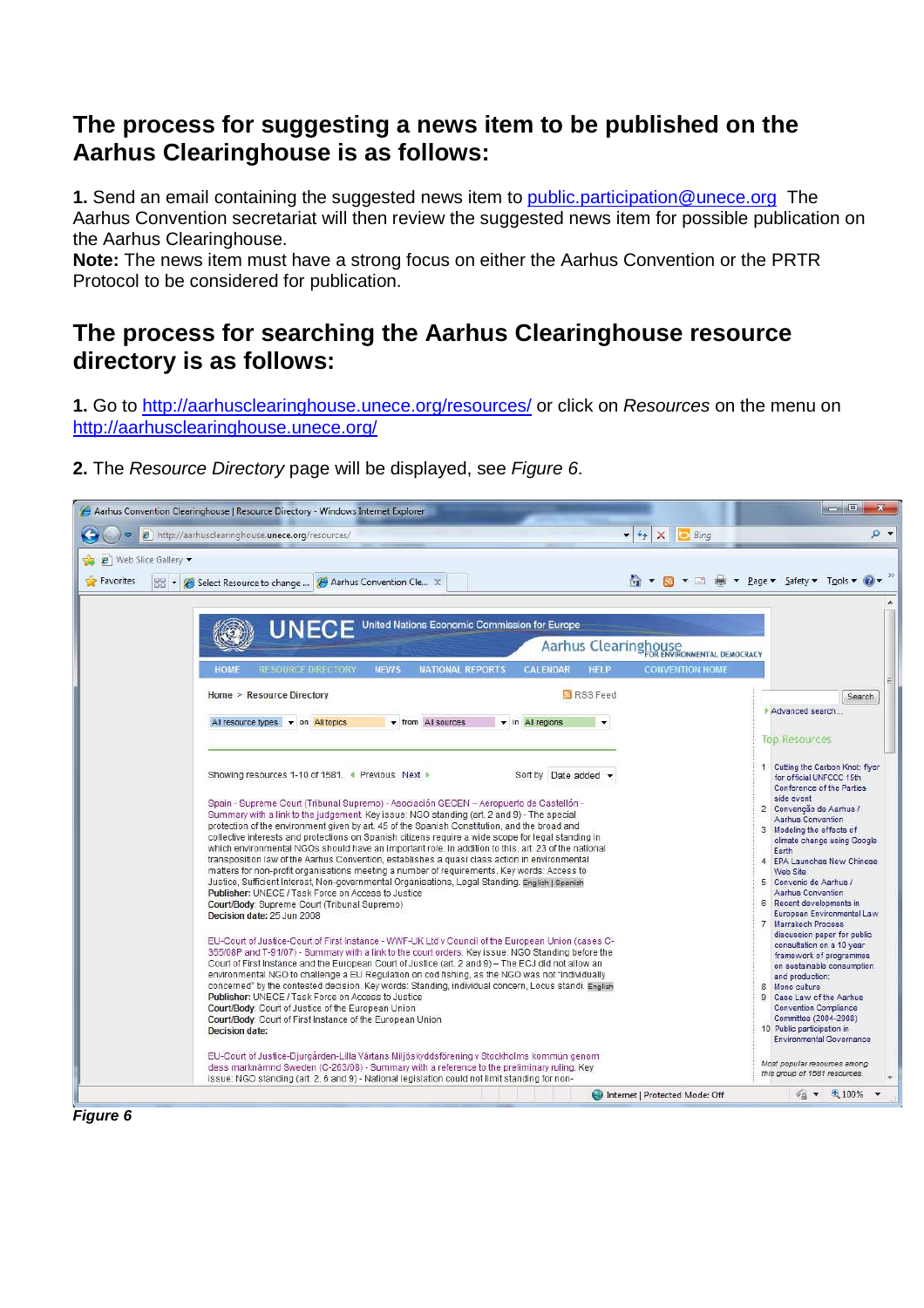## **The process for suggesting a news item to be published on the Aarhus Clearinghouse is as follows:**

**1.** Send an email containing the suggested news item to public.participation@unece.org The Aarhus Convention secretariat will then review the suggested news item for possible publication on the Aarhus Clearinghouse.

**Note:** The news item must have a strong focus on either the Aarhus Convention or the PRTR Protocol to be considered for publication.

#### **The process for searching the Aarhus Clearinghouse resource directory is as follows:**

**1.** Go to http://aarhusclearinghouse.unece.org/resources/ or click on Resources on the menu on http://aarhusclearinghouse.unece.org/

| 2. The Resource Directory page will be displayed, see Figure 6. |
|-----------------------------------------------------------------|
|                                                                 |

| Aarhus Convention Clearinghouse   Resource Directory - Windows Internet Explorer                                                                                                                                                                                                                                                                                                                                                                                                                                                                                                                                                                                                                                                                                                                                                                                                                                                                                                                                                                                                                                                                                                                                                                                                                                                                                                                                                                                                 |                                                                                                                                                                                                                        | <b>CONNECT</b>                                                                                                                                                                                                                                                                                                                                                                                                                                                                                                                        |
|----------------------------------------------------------------------------------------------------------------------------------------------------------------------------------------------------------------------------------------------------------------------------------------------------------------------------------------------------------------------------------------------------------------------------------------------------------------------------------------------------------------------------------------------------------------------------------------------------------------------------------------------------------------------------------------------------------------------------------------------------------------------------------------------------------------------------------------------------------------------------------------------------------------------------------------------------------------------------------------------------------------------------------------------------------------------------------------------------------------------------------------------------------------------------------------------------------------------------------------------------------------------------------------------------------------------------------------------------------------------------------------------------------------------------------------------------------------------------------|------------------------------------------------------------------------------------------------------------------------------------------------------------------------------------------------------------------------|---------------------------------------------------------------------------------------------------------------------------------------------------------------------------------------------------------------------------------------------------------------------------------------------------------------------------------------------------------------------------------------------------------------------------------------------------------------------------------------------------------------------------------------|
| e http://aarhusclearinghouse.unece.org/resources/                                                                                                                                                                                                                                                                                                                                                                                                                                                                                                                                                                                                                                                                                                                                                                                                                                                                                                                                                                                                                                                                                                                                                                                                                                                                                                                                                                                                                                | $\bullet$ $\bullet$ $\times$<br><b>Bing</b>                                                                                                                                                                            | $\Omega$ +                                                                                                                                                                                                                                                                                                                                                                                                                                                                                                                            |
| Web Slice Gallery                                                                                                                                                                                                                                                                                                                                                                                                                                                                                                                                                                                                                                                                                                                                                                                                                                                                                                                                                                                                                                                                                                                                                                                                                                                                                                                                                                                                                                                                |                                                                                                                                                                                                                        |                                                                                                                                                                                                                                                                                                                                                                                                                                                                                                                                       |
| Favorites<br><b>PB-</b><br>Aarhus Convention Cle X<br>Select Resource to change                                                                                                                                                                                                                                                                                                                                                                                                                                                                                                                                                                                                                                                                                                                                                                                                                                                                                                                                                                                                                                                                                                                                                                                                                                                                                                                                                                                                  |                                                                                                                                                                                                                        | A ▼ M ▼ II (m × Page ▼ Safety ▼ Tools ▼ W ▼                                                                                                                                                                                                                                                                                                                                                                                                                                                                                           |
| UNECE<br><b>RESOURCE DIRECTORY</b><br><b>NEWS</b><br><b>NATIONAL REPORTS</b><br><b>HOME</b><br>Home > Resource Directory<br>▼ from All sources<br>All resource types $\bullet$ on All topics<br>Showing resources 1-10 of 1581. ● Previous Next ▶<br>Spain - Supreme Court (Tribunal Supremo) - Asociación GECEN - Aeropuerto de Castellón -<br>Summary with a link to the judgement. Key issue: NGO standing (art. 2 and 9) - The special<br>protection of the environment given by art. 45 of the Spanish Constitution, and the broad and                                                                                                                                                                                                                                                                                                                                                                                                                                                                                                                                                                                                                                                                                                                                                                                                                                                                                                                                      | United Nations Economic Commission for Europe<br>Aarhus Clearinghouse<br><b>CALENDAR</b><br><b>HELP</b><br><b>CONVENTION HOME</b><br><b>N</b> RSS Feed<br>$\blacktriangleright$ in All regions<br>Sort by Date added - | $\lambda$<br>Search<br>Advanced search<br><b>Top Resources</b><br>1 Cutting the Carbon Knot: flyer<br>for official UNFCCC 15th<br>Conference of the Parties<br>side event<br>2 Convenção de Aarhus /<br><b>Aarhus Convention</b><br>3 Modeling the effects of                                                                                                                                                                                                                                                                         |
| collective interests and protections on Spanish citizens require a wide scope for legal standing in<br>which environmental NGOs should have an important role. In addition to this, art. 23 of the national<br>transposition law of the Aarhus Convention, establishes a quasi class action in environmental<br>matters for non-profit organisations meeting a number of requirements. Key words: Access to<br>Justice, Sufficient Interest, Non-governmental Organisations, Legal Standing, English   Spanish<br>Publisher: UNECE / Task Force on Access to Justice<br>Court/Body: Supreme Court (Tribunal Supremo)<br>Decision date: 25 Jun 2008<br>EU-Court of Justice-Court of First Instance - WWF-UK Ltd v Council of the European Union (cases C-<br>355/08P and T-91/07) - Summary with a link to the court orders. Key issue: NGO Standing before the<br>Court of First Instance and the European Court of Justice (art. 2 and 9) - The ECJ did not allow an<br>environmental NGO to challenge a EU Regulation on cod fishing, as the NGO was not "individually<br>concerned" by the contested decision. Key words: Standing, individual concern, Locus standi. English<br>Publisher: UNECE / Task Force on Access to Justice<br>Court/Body: Court of Justice of the European Union<br>Court/Body: Court of First Instance of the European Union<br><b>Decision date:</b><br>EU-Court of Justice-Diurgården-Lilla Värtans Miljöskyddsförening v Stockholms kommun genom |                                                                                                                                                                                                                        | climate change using Google<br>Farth<br>4 EPA Launches New Chinese<br>Web Site<br>5 Convenio de Aarhus /<br><b>Aarhus Convention</b><br>6 Recent developments in<br>European Environmental Law<br>7 Marrakech Process<br>discussion paper for public<br>consultation on a 10 year<br>framework of programmes<br>on sustainable consumption<br>and production:<br>8 Mono culture<br>9 Case Law of the Aarhus<br><b>Convention Compliance</b><br>Committee (2004-2008)<br>10 Public participation in<br><b>Environmental Governance</b> |
| dess marknämnd Sweden (C-263/08) - Summary with a reference to the preliminary ruling. Key<br>issue: NGO standing (art. 2, 6 and 9) - National legislation could not limit standing for non-                                                                                                                                                                                                                                                                                                                                                                                                                                                                                                                                                                                                                                                                                                                                                                                                                                                                                                                                                                                                                                                                                                                                                                                                                                                                                     | Internet   Protected Mode: Off                                                                                                                                                                                         | Most popular resources among<br>this group of 1581 resources.<br>$\frac{4}{9}$ $\times$ $\frac{4}{100\%}$                                                                                                                                                                                                                                                                                                                                                                                                                             |
|                                                                                                                                                                                                                                                                                                                                                                                                                                                                                                                                                                                                                                                                                                                                                                                                                                                                                                                                                                                                                                                                                                                                                                                                                                                                                                                                                                                                                                                                                  |                                                                                                                                                                                                                        |                                                                                                                                                                                                                                                                                                                                                                                                                                                                                                                                       |

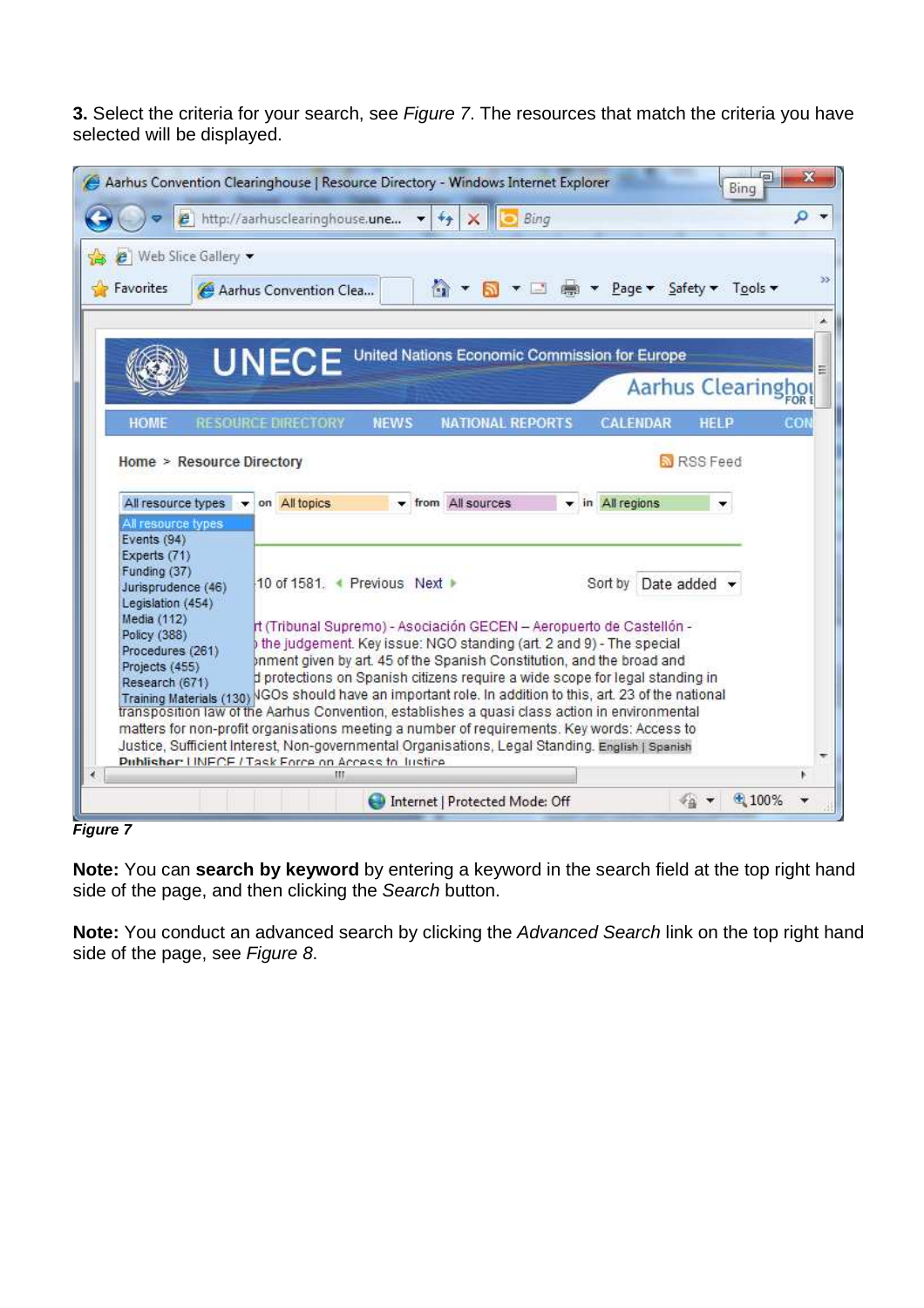**3.** Select the criteria for your search, see Figure 7. The resources that match the criteria you have selected will be displayed.

|                                                                                     | Aarhus Convention Clearinghouse   Resource Directory - Windows Internet Explorer                                                                                                                                                                                                                                                                                                                                    | 双<br>Bing          |
|-------------------------------------------------------------------------------------|---------------------------------------------------------------------------------------------------------------------------------------------------------------------------------------------------------------------------------------------------------------------------------------------------------------------------------------------------------------------------------------------------------------------|--------------------|
|                                                                                     | e http://aarhusclearinghouse.une<br>Bing<br>$+$                                                                                                                                                                                                                                                                                                                                                                     | ۹                  |
| <i>e</i>   Web Slice Gallery ▼<br>Favorites                                         | A ▼ M ▼ II (m × Page ▼ Safety ▼ Tools ▼<br>Aarhus Convention Clea                                                                                                                                                                                                                                                                                                                                                   |                    |
|                                                                                     | United Nations Economic Commission for Europe<br>UNECE                                                                                                                                                                                                                                                                                                                                                              | Aarhus Clearinghol |
| <b>HOME</b>                                                                         | RESOURCE DIRECTORY NEWS<br><b>NATIONAL REPORTS</b><br><b>CALENDAR</b>                                                                                                                                                                                                                                                                                                                                               | CO<br><b>HELP</b>  |
| All resource types<br>All resource types<br>Events (94)                             | on All topics<br>▼ from All sources<br>v in All regions                                                                                                                                                                                                                                                                                                                                                             |                    |
| Experts (71)<br>Funding (37)<br>Jurisprudence (46)<br>Legislation (454)             | 10 of 1581. + Previous Next ▶                                                                                                                                                                                                                                                                                                                                                                                       | Sort by Date added |
| Media (112)<br>Policy (388)<br>Procedures (261)<br>Projects (455)<br>Research (671) | rt (Tribunal Supremo) - Asociación GECEN - Aeropuerto de Castellón -<br>the judgement. Key issue: NGO standing (art. 2 and 9) - The special<br>priment given by art. 45 of the Spanish Constitution, and the broad and<br>d protections on Spanish citizens require a wide scope for legal standing in<br>Training Materials (130) IGOs should have an important role. In addition to this, art. 23 of the national |                    |
|                                                                                     | transposition law of the Aarhus Convention, establishes a quasi class action in environmental<br>matters for non-profit organisations meeting a number of requirements. Key words: Access to<br>Justice, Sufficient Interest, Non-governmental Organisations, Legal Standing. English   Spanish<br>Publisher LINECE / Task Entre on Access to Instice<br>Ш                                                          |                    |
|                                                                                     | Internet   Protected Mode: Off                                                                                                                                                                                                                                                                                                                                                                                      | $*100%$            |

**Figure 7** 

**Note:** You can **search by keyword** by entering a keyword in the search field at the top right hand side of the page, and then clicking the Search button.

**Note:** You conduct an advanced search by clicking the Advanced Search link on the top right hand side of the page, see Figure 8.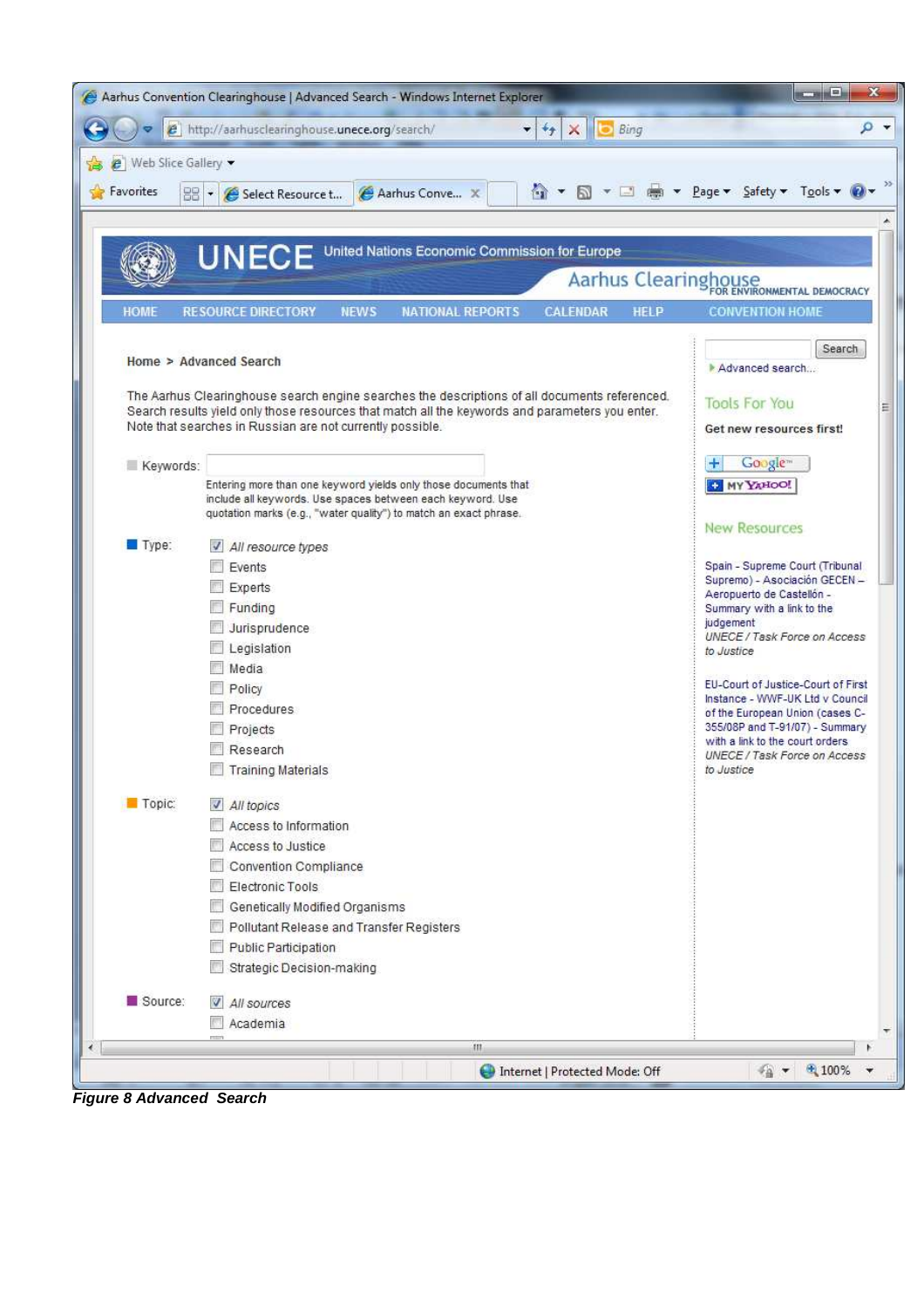|                         | Aarhus Convention Clearinghouse   Advanced Search - Windows Internet Explorer                                                                                | ×<br><b>CONNEL</b>                                                     |
|-------------------------|--------------------------------------------------------------------------------------------------------------------------------------------------------------|------------------------------------------------------------------------|
|                         | e http://aarhusclearinghouse.unece.org/search/<br>$\mathbf{v}$ + $\mathbf{v}$<br>$\times$<br>Bing                                                            | ۹<br>$\overline{\mathbf{v}}$                                           |
| e   Web Slice Gallery • |                                                                                                                                                              |                                                                        |
| Favorites               | 器·<br>Aarhus Conve X<br>Select Resource t                                                                                                                    | A ▼ M ▼ M · M · Page ▼ Safety ▼ Tools ▼ W                              |
|                         |                                                                                                                                                              |                                                                        |
|                         | United Nations Economic Commission for Europe                                                                                                                |                                                                        |
|                         | <b>UNECE</b>                                                                                                                                                 |                                                                        |
|                         |                                                                                                                                                              | Aarhus Clearinghouse                                                   |
| <b>HOME</b>             | <b>NATIONAL REPORTS</b><br><b>CALENDAR</b><br><b>RESOURCE DIRECTORY</b><br><b>NEWS</b><br><b>HELP</b>                                                        | <b>CONVENTION HOME</b>                                                 |
|                         |                                                                                                                                                              | Search                                                                 |
|                         | Home > Advanced Search                                                                                                                                       | Advanced search                                                        |
|                         | The Aarhus Clearinghouse search engine searches the descriptions of all documents referenced.                                                                | <b>Tools For You</b>                                                   |
|                         | Search results yield only those resources that match all the keywords and parameters you enter.<br>Note that searches in Russian are not currently possible. | Ξ<br>Get new resources first!                                          |
|                         |                                                                                                                                                              |                                                                        |
| Keywords:               |                                                                                                                                                              | Google <sup>®</sup>                                                    |
|                         | Entering more than one keyword yields only those documents that<br>include all keywords. Use spaces between each keyword. Use                                | <b>ED MY YAHOO!</b>                                                    |
|                         | quotation marks (e.g., "water quality") to match an exact phrase.                                                                                            | <b>New Resources</b>                                                   |
| Type:                   | All resource types                                                                                                                                           |                                                                        |
|                         | Events                                                                                                                                                       | Spain - Supreme Court (Tribunal                                        |
|                         | Experts                                                                                                                                                      | Supremo) - Asociación GECEN -<br>Aeropuerto de Castellón -             |
|                         | Funding                                                                                                                                                      | Summary with a link to the                                             |
|                         | Jurisprudence                                                                                                                                                | judgement<br>UNECE / Task Force on Access                              |
|                         | Legislation<br>Media                                                                                                                                         | to Justice                                                             |
|                         | Policy                                                                                                                                                       | EU-Court of Justice-Court of First                                     |
|                         | Procedures:                                                                                                                                                  | Instance - WWF-UK Ltd v Council<br>of the European Union (cases C-     |
|                         | Projects                                                                                                                                                     | 355/08P and T-91/07) - Summary                                         |
|                         | Research                                                                                                                                                     | with a link to the court orders<br><b>UNECE / Task Force on Access</b> |
|                         | <b>Training Materials</b>                                                                                                                                    | to Justice                                                             |
| Topic:                  | All topics                                                                                                                                                   |                                                                        |
|                         | Access to Information                                                                                                                                        |                                                                        |
|                         | Access to Justice                                                                                                                                            |                                                                        |
|                         | Convention Compliance                                                                                                                                        |                                                                        |
|                         | Electronic Tools                                                                                                                                             |                                                                        |
|                         | Genetically Modified Organisms<br>Pollutant Release and Transfer Registers                                                                                   |                                                                        |
|                         | Public Participation                                                                                                                                         |                                                                        |
|                         | Strategic Decision-making                                                                                                                                    |                                                                        |
| Source:                 | V All sources                                                                                                                                                |                                                                        |
|                         | Academia                                                                                                                                                     |                                                                        |
|                         | Ш                                                                                                                                                            | ۳                                                                      |
|                         | Internet   Protected Mode: Off                                                                                                                               | ● 100%<br>稻                                                            |
|                         |                                                                                                                                                              |                                                                        |

**Figure 8 Advanced Search**